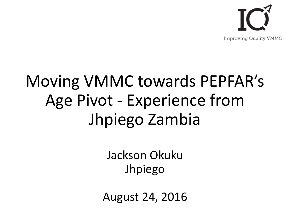

## Moving VMMC towards PEPFAR's Age Pivot - Experience from Jhpiego Zambia

Jackson Okuku Jhpiego

August 24, 2016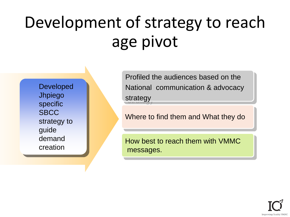# Development of strategy to reach age pivot

Developed Jhpiego specific **SBCC** strategy to guide demand creation

Profiled the audiences based on the National communication & advocacy strategy

Where to find them and What they do

How best to reach them with VMMC messages.

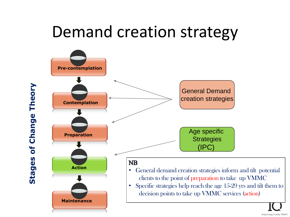### Demand creation strategy



**Stages of Change Theory**of Change Theory Stages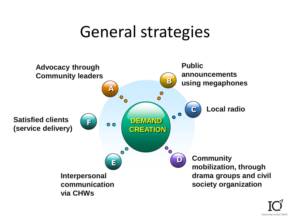### General strategies



**Improving Quality VMMC**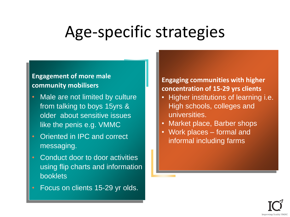### Age-specific strategies

#### **Engagement of more male community mobilisers**

- Male are not limited by culture from talking to boys 15yrs & older about sensitive issues like the penis e.g. VMMC
- Oriented in IPC and correct messaging.
- Conduct door to door activities using flip charts and information booklets
- Focus on clients 15-29 yr olds.

#### **Engaging communities with higher concentration of 15-29 yrs clients**

- Higher institutions of learning i.e. High schools, colleges and universities.
- Market place, Barber shops
- Work places formal and informal including farms

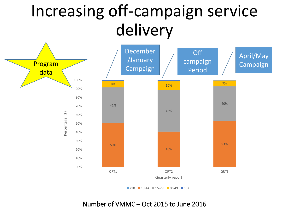### Increasing off-campaign service delivery



 $\blacksquare$ <10  $\blacksquare$  10-14  $\blacksquare$  15-29  $\blacksquare$  30-49  $\blacksquare$  50+

Number of VMMC – Oct 2015 to June 2016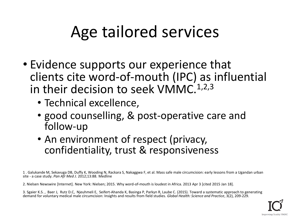### Age tailored services

- Evidence supports our experience that clients cite word-of-mouth (IPC) as influential in their decision to seek VMMC.<sup>1,2,3</sup>
	- Technical excellence,
	- good counselling, & post-operative care and follow-up
	- An environment of respect (privacy, confidentiality, trust & responsiveness

1 . Galukande M, Sekavuga DB, Duffy K, Wooding N, Rackara S, Nakaggwa F, et al. Mass safe male circumcision: early lessons from a Ugandan urban site - a case study. *Pan Afr Med J*. 2012;13:88. Medline

2. Nielsen Newswire [Internet]. New York: Nielsen; 2015. Why word-of-mouth is loudest in Africa. 2013 Apr 3 [cited 2015 Jan 18].

3. Sgaier K.S. , Baer J, Rutz D.C, Njeuhmeli E, Seifert-Ahanda K, Basinga P, Parkyn R, Laube C. (2015). Toward a systematic approach to generating demand for voluntary medical male circumcision: Insights and results from field studies. *Global Health: Science and Practice*, 3(2), 209-229.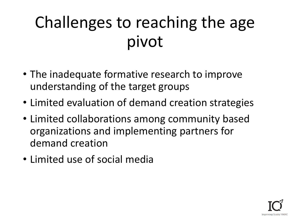# Challenges to reaching the age pivot

- The inadequate formative research to improve understanding of the target groups
- Limited evaluation of demand creation strategies
- Limited collaborations among community based organizations and implementing partners for demand creation
- Limited use of social media